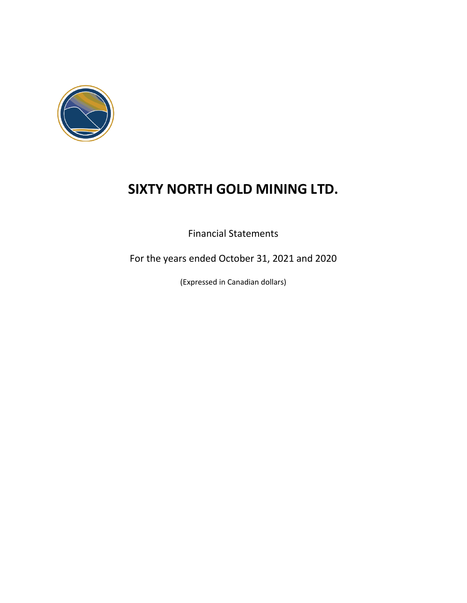

Financial Statements

For the years ended October 31, 2021 and 2020

(Expressed in Canadian dollars)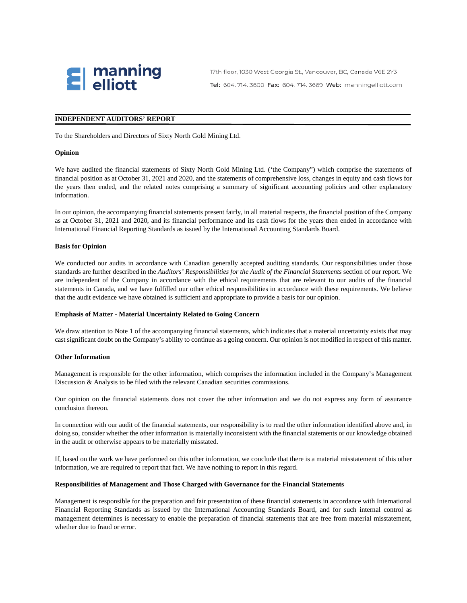

17th floor, 1030 West Georgia St., Vancouver, BC, Canada V6E 2Y3 Tel: 604.714.3600 Fax: 604.714.3669 Web: manningelliott.com

#### **INDEPENDENT AUDITORS' REPORT**

To the Shareholders and Directors of Sixty North Gold Mining Ltd.

#### **Opinion**

We have audited the financial statements of Sixty North Gold Mining Ltd. ('the Company") which comprise the statements of financial position as at October 31, 2021 and 2020, and the statements of comprehensive loss, changes in equity and cash flows for the years then ended, and the related notes comprising a summary of significant accounting policies and other explanatory information.

In our opinion, the accompanying financial statements present fairly, in all material respects, the financial position of the Company as at October 31, 2021 and 2020, and its financial performance and its cash flows for the years then ended in accordance with International Financial Reporting Standards as issued by the International Accounting Standards Board.

#### **Basis for Opinion**

We conducted our audits in accordance with Canadian generally accepted auditing standards. Our responsibilities under those standards are further described in the *Auditors' Responsibilities for the Audit of the Financial Statements* section of our report. We are independent of the Company in accordance with the ethical requirements that are relevant to our audits of the financial statements in Canada, and we have fulfilled our other ethical responsibilities in accordance with these requirements. We believe that the audit evidence we have obtained is sufficient and appropriate to provide a basis for our opinion.

#### **Emphasis of Matter - Material Uncertainty Related to Going Concern**

We draw attention to Note 1 of the accompanying financial statements, which indicates that a material uncertainty exists that may cast significant doubt on the Company's ability to continue as a going concern. Our opinion is not modified in respect of this matter.

#### **Other Information**

Management is responsible for the other information, which comprises the information included in the Company's Management Discussion & Analysis to be filed with the relevant Canadian securities commissions.

Our opinion on the financial statements does not cover the other information and we do not express any form of assurance conclusion thereon.

In connection with our audit of the financial statements, our responsibility is to read the other information identified above and, in doing so, consider whether the other information is materially inconsistent with the financial statements or our knowledge obtained in the audit or otherwise appears to be materially misstated.

If, based on the work we have performed on this other information, we conclude that there is a material misstatement of this other information, we are required to report that fact. We have nothing to report in this regard.

#### **Responsibilities of Management and Those Charged with Governance for the Financial Statements**

Management is responsible for the preparation and fair presentation of these financial statements in accordance with International Financial Reporting Standards as issued by the International Accounting Standards Board, and for such internal control as management determines is necessary to enable the preparation of financial statements that are free from material misstatement, whether due to fraud or error.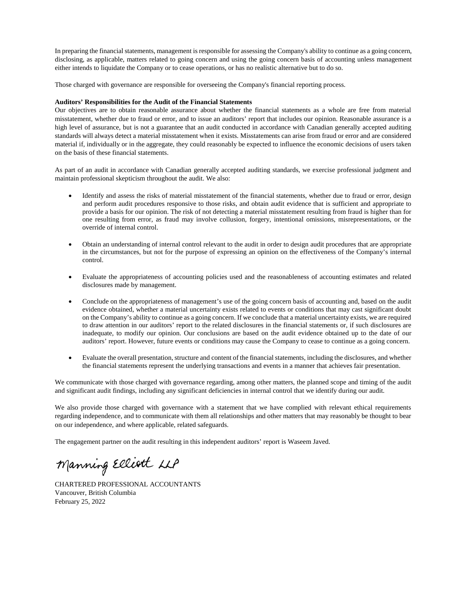In preparing the financial statements, management is responsible for assessing the Company's ability to continue as a going concern, disclosing, as applicable, matters related to going concern and using the going concern basis of accounting unless management either intends to liquidate the Company or to cease operations, or has no realistic alternative but to do so.

Those charged with governance are responsible for overseeing the Company's financial reporting process.

#### **Auditors' Responsibilities for the Audit of the Financial Statements**

Our objectives are to obtain reasonable assurance about whether the financial statements as a whole are free from material misstatement, whether due to fraud or error, and to issue an auditors' report that includes our opinion. Reasonable assurance is a high level of assurance, but is not a guarantee that an audit conducted in accordance with Canadian generally accepted auditing standards will always detect a material misstatement when it exists. Misstatements can arise from fraud or error and are considered material if, individually or in the aggregate, they could reasonably be expected to influence the economic decisions of users taken on the basis of these financial statements.

As part of an audit in accordance with Canadian generally accepted auditing standards, we exercise professional judgment and maintain professional skepticism throughout the audit. We also:

- Identify and assess the risks of material misstatement of the financial statements, whether due to fraud or error, design and perform audit procedures responsive to those risks, and obtain audit evidence that is sufficient and appropriate to provide a basis for our opinion. The risk of not detecting a material misstatement resulting from fraud is higher than for one resulting from error, as fraud may involve collusion, forgery, intentional omissions, misrepresentations, or the override of internal control.
- Obtain an understanding of internal control relevant to the audit in order to design audit procedures that are appropriate in the circumstances, but not for the purpose of expressing an opinion on the effectiveness of the Company's internal control.
- Evaluate the appropriateness of accounting policies used and the reasonableness of accounting estimates and related disclosures made by management.
- Conclude on the appropriateness of management's use of the going concern basis of accounting and, based on the audit evidence obtained, whether a material uncertainty exists related to events or conditions that may cast significant doubt on the Company's ability to continue as a going concern. If we conclude that a material uncertainty exists, we are required to draw attention in our auditors' report to the related disclosures in the financial statements or, if such disclosures are inadequate, to modify our opinion. Our conclusions are based on the audit evidence obtained up to the date of our auditors' report. However, future events or conditions may cause the Company to cease to continue as a going concern.
- Evaluate the overall presentation, structure and content of the financial statements, including the disclosures, and whether the financial statements represent the underlying transactions and events in a manner that achieves fair presentation.

We communicate with those charged with governance regarding, among other matters, the planned scope and timing of the audit and significant audit findings, including any significant deficiencies in internal control that we identify during our audit.

We also provide those charged with governance with a statement that we have complied with relevant ethical requirements regarding independence, and to communicate with them all relationships and other matters that may reasonably be thought to bear on our independence, and where applicable, related safeguards.

The engagement partner on the audit resulting in this independent auditors' report is Waseem Javed.

Manning Elliott LLP

CHARTERED PROFESSIONAL ACCOUNTANTS Vancouver, British Columbia February 25, 2022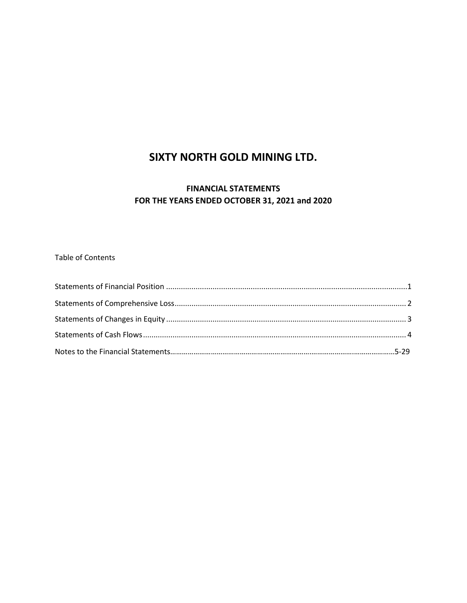### **FINANCIAL STATEMENTS FOR THE YEARS ENDED OCTOBER 31, 2021 and 2020**

### Table of Contents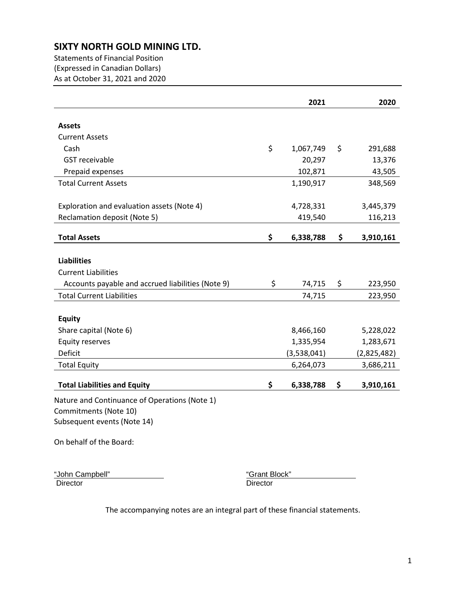Statements of Financial Position (Expressed in Canadian Dollars) As at October 31, 2021 and 2020

|                                                   | 2021            | 2020            |
|---------------------------------------------------|-----------------|-----------------|
|                                                   |                 |                 |
| <b>Assets</b>                                     |                 |                 |
| <b>Current Assets</b>                             |                 |                 |
| Cash                                              | \$<br>1,067,749 | \$<br>291,688   |
| <b>GST receivable</b>                             | 20,297          | 13,376          |
| Prepaid expenses                                  | 102,871         | 43,505          |
| <b>Total Current Assets</b>                       | 1,190,917       | 348,569         |
|                                                   |                 |                 |
| Exploration and evaluation assets (Note 4)        | 4,728,331       | 3,445,379       |
| <b>Reclamation deposit (Note 5)</b>               | 419,540         | 116,213         |
| <b>Total Assets</b>                               | \$<br>6,338,788 | \$<br>3,910,161 |
|                                                   |                 |                 |
| <b>Liabilities</b>                                |                 |                 |
| <b>Current Liabilities</b>                        |                 |                 |
| Accounts payable and accrued liabilities (Note 9) | \$<br>74,715    | \$<br>223,950   |
| <b>Total Current Liabilities</b>                  | 74,715          | 223,950         |
|                                                   |                 |                 |
| <b>Equity</b>                                     |                 |                 |
| Share capital (Note 6)                            | 8,466,160       | 5,228,022       |
| <b>Equity reserves</b>                            | 1,335,954       | 1,283,671       |
| Deficit                                           | (3,538,041)     | (2,825,482)     |
| <b>Total Equity</b>                               | 6,264,073       | 3,686,211       |
| <b>Total Liabilities and Equity</b>               | \$<br>6,338,788 | \$<br>3,910,161 |
|                                                   |                 |                 |
| Nature and Continuance of Operations (Note 1)     |                 |                 |
| Commitments (Note 10)                             |                 |                 |
| Subsequent events (Note 14)                       |                 |                 |
| On behalf of the Board:                           |                 |                 |

"John Campbell" **"Grant Block"**<br>
Director **Director** Director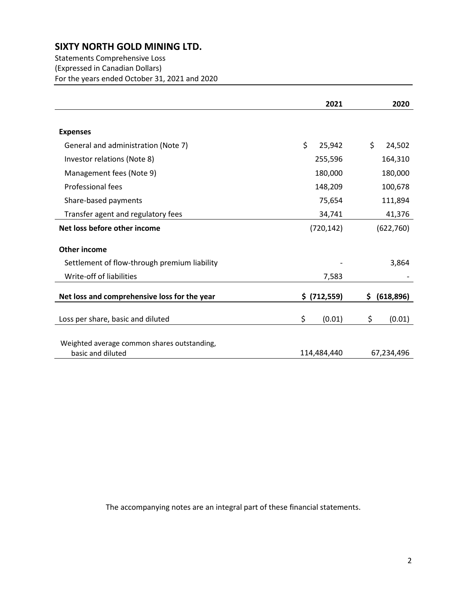Statements Comprehensive Loss (Expressed in Canadian Dollars) For the years ended October 31, 2021 and 2020

|                                                                  | 2021         | 2020              |
|------------------------------------------------------------------|--------------|-------------------|
|                                                                  |              |                   |
| <b>Expenses</b>                                                  |              |                   |
| General and administration (Note 7)                              | \$<br>25,942 | \$<br>24,502      |
| Investor relations (Note 8)                                      | 255,596      | 164,310           |
| Management fees (Note 9)                                         | 180,000      | 180,000           |
| <b>Professional fees</b>                                         | 148,209      | 100,678           |
| Share-based payments                                             | 75,654       | 111,894           |
| Transfer agent and regulatory fees                               | 34,741       | 41,376            |
| Net loss before other income                                     | (720, 142)   | (622, 760)        |
| Other income                                                     |              |                   |
| Settlement of flow-through premium liability                     |              | 3,864             |
| Write-off of liabilities                                         | 7,583        |                   |
| Net loss and comprehensive loss for the year                     | \$ (712,559) | (618, 896)<br>\$. |
| Loss per share, basic and diluted                                | \$<br>(0.01) | \$<br>(0.01)      |
| Weighted average common shares outstanding,<br>basic and diluted | 114,484,440  | 67,234,496        |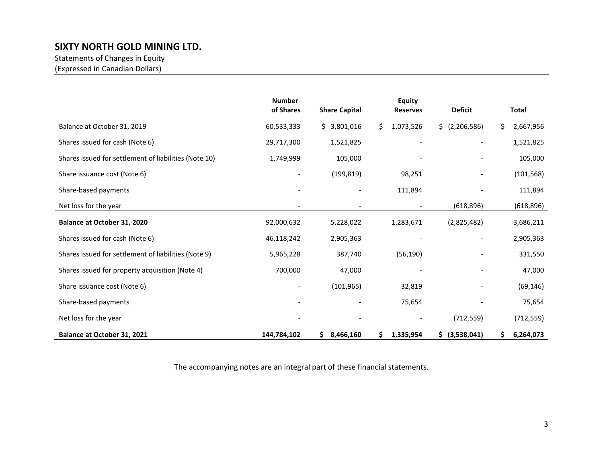Statements of Changes in Equity (Expressed in Canadian Dollars)

|                                                       | <b>Number</b><br>of Shares | <b>Share Capital</b> | <b>Equity</b><br><b>Reserves</b> | <b>Deficit</b> | <b>Total</b>     |
|-------------------------------------------------------|----------------------------|----------------------|----------------------------------|----------------|------------------|
| Balance at October 31, 2019                           | 60,533,333                 | \$3,801,016          | \$<br>1,073,526                  | \$ (2,206,586) | \$.<br>2,667,956 |
| Shares issued for cash (Note 6)                       | 29,717,300                 | 1,521,825            | $\overline{\phantom{a}}$         |                | 1,521,825        |
| Shares issued for settlement of liabilities (Note 10) | 1,749,999                  | 105,000              |                                  |                | 105,000          |
| Share issuance cost (Note 6)                          | $\overline{\phantom{a}}$   | (199, 819)           | 98,251                           |                | (101, 568)       |
| Share-based payments                                  |                            |                      | 111,894                          |                | 111,894          |
| Net loss for the year                                 |                            |                      |                                  | (618, 896)     | (618, 896)       |
| Balance at October 31, 2020                           | 92,000,632                 | 5,228,022            | 1,283,671                        | (2,825,482)    | 3,686,211        |
| Shares issued for cash (Note 6)                       | 46,118,242                 | 2,905,363            |                                  |                | 2,905,363        |
| Shares issued for settlement of liabilities (Note 9)  | 5,965,228                  | 387,740              | (56, 190)                        |                | 331,550          |
| Shares issued for property acquisition (Note 4)       | 700,000                    | 47,000               |                                  |                | 47,000           |
| Share issuance cost (Note 6)                          | $\overline{\phantom{a}}$   | (101, 965)           | 32,819                           |                | (69, 146)        |
| Share-based payments                                  |                            |                      | 75,654                           |                | 75,654           |
| Net loss for the year                                 |                            |                      | $\overline{\phantom{a}}$         | (712, 559)     | (712, 559)       |
| Balance at October 31, 2021                           | 144,784,102                | \$3,466,160          | \$.<br>1,335,954                 | \$ (3,538,041) | 6,264,073        |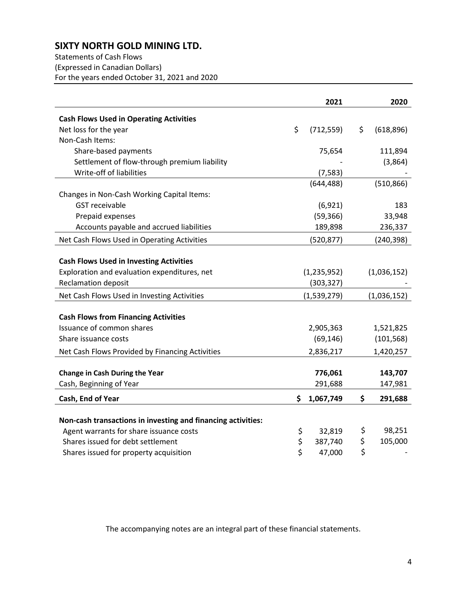Statements of Cash Flows (Expressed in Canadian Dollars) For the years ended October 31, 2021 and 2020

|                                                              | 2021             | 2020             |
|--------------------------------------------------------------|------------------|------------------|
| <b>Cash Flows Used in Operating Activities</b>               |                  |                  |
| Net loss for the year                                        | \$<br>(712, 559) | \$<br>(618, 896) |
| Non-Cash Items:                                              |                  |                  |
| Share-based payments                                         | 75,654           | 111,894          |
| Settlement of flow-through premium liability                 |                  | (3,864)          |
| Write-off of liabilities                                     | (7, 583)         |                  |
|                                                              | (644, 488)       | (510, 866)       |
| Changes in Non-Cash Working Capital Items:                   |                  |                  |
| <b>GST</b> receivable                                        | (6, 921)         | 183              |
| Prepaid expenses                                             | (59, 366)        | 33,948           |
| Accounts payable and accrued liabilities                     | 189,898          | 236,337          |
| Net Cash Flows Used in Operating Activities                  | (520, 877)       | (240,398)        |
|                                                              |                  |                  |
| <b>Cash Flows Used in Investing Activities</b>               |                  |                  |
| Exploration and evaluation expenditures, net                 | (1, 235, 952)    | (1,036,152)      |
| <b>Reclamation deposit</b>                                   | (303, 327)       |                  |
| Net Cash Flows Used in Investing Activities                  | (1,539,279)      | (1,036,152)      |
|                                                              |                  |                  |
| <b>Cash Flows from Financing Activities</b>                  |                  |                  |
| Issuance of common shares                                    | 2,905,363        | 1,521,825        |
| Share issuance costs                                         | (69, 146)        | (101, 568)       |
| Net Cash Flows Provided by Financing Activities              | 2,836,217        | 1,420,257        |
|                                                              |                  |                  |
| <b>Change in Cash During the Year</b>                        | 776,061          | 143,707          |
| Cash, Beginning of Year                                      | 291,688          | 147,981          |
| Cash, End of Year                                            | \$<br>1,067,749  | \$<br>291,688    |
|                                                              |                  |                  |
| Non-cash transactions in investing and financing activities: |                  |                  |
| Agent warrants for share issuance costs                      | \$<br>32,819     | \$<br>98,251     |
| Shares issued for debt settlement                            | \$<br>387,740    | \$<br>105,000    |
| Shares issued for property acquisition                       | \$<br>47,000     | \$               |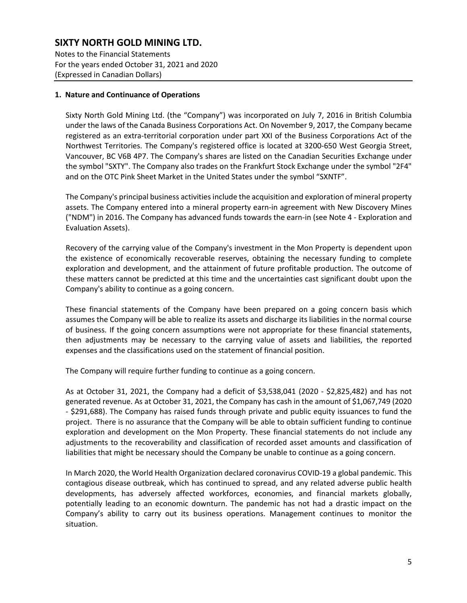Notes to the Financial Statements For the years ended October 31, 2021 and 2020 (Expressed in Canadian Dollars)

#### **1. Nature and Continuance of Operations**

Sixty North Gold Mining Ltd. (the "Company") was incorporated on July 7, 2016 in British Columbia under the laws of the Canada Business Corporations Act. On November 9, 2017, the Company became registered as an extra-territorial corporation under part XXI of the Business Corporations Act of the Northwest Territories. The Company's registered office is located at 3200-650 West Georgia Street, Vancouver, BC V6B 4P7. The Company's shares are listed on the Canadian Securities Exchange under the symbol "SXTY". The Company also trades on the Frankfurt Stock Exchange under the symbol "2F4" and on the OTC Pink Sheet Market in the United States under the symbol "SXNTF".

The Company's principal business activities include the acquisition and exploration of mineral property assets. The Company entered into a mineral property earn-in agreement with New Discovery Mines ("NDM") in 2016. The Company has advanced funds towards the earn-in (see Note 4 - Exploration and Evaluation Assets).

Recovery of the carrying value of the Company's investment in the Mon Property is dependent upon the existence of economically recoverable reserves, obtaining the necessary funding to complete exploration and development, and the attainment of future profitable production. The outcome of these matters cannot be predicted at this time and the uncertainties cast significant doubt upon the Company's ability to continue as a going concern.

These financial statements of the Company have been prepared on a going concern basis which assumes the Company will be able to realize its assets and discharge its liabilities in the normal course of business. If the going concern assumptions were not appropriate for these financial statements, then adjustments may be necessary to the carrying value of assets and liabilities, the reported expenses and the classifications used on the statement of financial position.

The Company will require further funding to continue as a going concern.

As at October 31, 2021, the Company had a deficit of \$3,538,041 (2020 - \$2,825,482) and has not generated revenue. As at October 31, 2021, the Company has cash in the amount of \$1,067,749 (2020 - \$291,688). The Company has raised funds through private and public equity issuances to fund the project. There is no assurance that the Company will be able to obtain sufficient funding to continue exploration and development on the Mon Property. These financial statements do not include any adjustments to the recoverability and classification of recorded asset amounts and classification of liabilities that might be necessary should the Company be unable to continue as a going concern.

In March 2020, the World Health Organization declared coronavirus COVID-19 a global pandemic. This contagious disease outbreak, which has continued to spread, and any related adverse public health developments, has adversely affected workforces, economies, and financial markets globally, potentially leading to an economic downturn. The pandemic has not had a drastic impact on the Company's ability to carry out its business operations. Management continues to monitor the situation.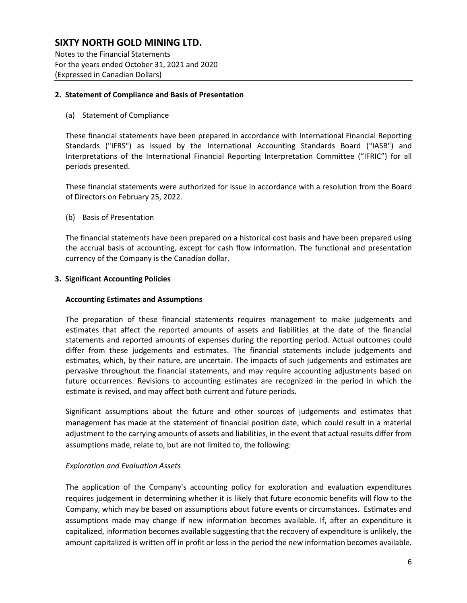Notes to the Financial Statements For the years ended October 31, 2021 and 2020 (Expressed in Canadian Dollars)

#### **2. Statement of Compliance and Basis of Presentation**

#### (a) Statement of Compliance

These financial statements have been prepared in accordance with International Financial Reporting Standards ("IFRS") as issued by the International Accounting Standards Board ("IASB") and Interpretations of the International Financial Reporting Interpretation Committee ("IFRIC") for all periods presented.

These financial statements were authorized for issue in accordance with a resolution from the Board of Directors on February 25, 2022.

### (b) Basis of Presentation

The financial statements have been prepared on a historical cost basis and have been prepared using the accrual basis of accounting, except for cash flow information. The functional and presentation currency of the Company is the Canadian dollar.

#### **3. Significant Accounting Policies**

### **Accounting Estimates and Assumptions**

The preparation of these financial statements requires management to make judgements and estimates that affect the reported amounts of assets and liabilities at the date of the financial statements and reported amounts of expenses during the reporting period. Actual outcomes could differ from these judgements and estimates. The financial statements include judgements and estimates, which, by their nature, are uncertain. The impacts of such judgements and estimates are pervasive throughout the financial statements, and may require accounting adjustments based on future occurrences. Revisions to accounting estimates are recognized in the period in which the estimate is revised, and may affect both current and future periods.

Significant assumptions about the future and other sources of judgements and estimates that management has made at the statement of financial position date, which could result in a material adjustment to the carrying amounts of assets and liabilities, in the event that actual results differ from assumptions made, relate to, but are not limited to, the following:

#### *Exploration and Evaluation Assets*

The application of the Company's accounting policy for exploration and evaluation expenditures requires judgement in determining whether it is likely that future economic benefits will flow to the Company, which may be based on assumptions about future events or circumstances. Estimates and assumptions made may change if new information becomes available. If, after an expenditure is capitalized, information becomes available suggesting that the recovery of expenditure is unlikely, the amount capitalized is written off in profit or loss in the period the new information becomes available.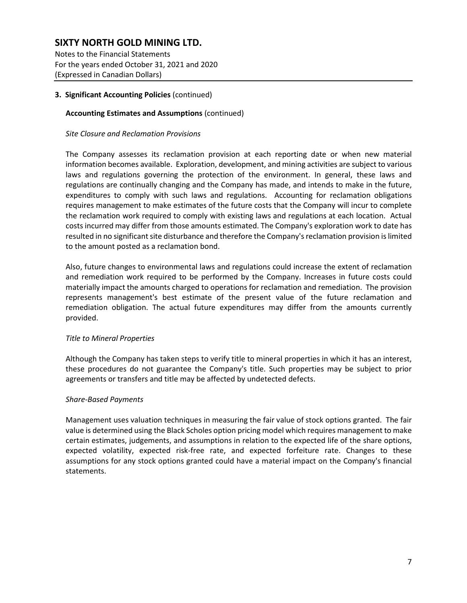Notes to the Financial Statements For the years ended October 31, 2021 and 2020 (Expressed in Canadian Dollars)

#### **3. Significant Accounting Policies** (continued)

### **Accounting Estimates and Assumptions** (continued)

#### *Site Closure and Reclamation Provisions*

The Company assesses its reclamation provision at each reporting date or when new material information becomes available. Exploration, development, and mining activities are subject to various laws and regulations governing the protection of the environment. In general, these laws and regulations are continually changing and the Company has made, and intends to make in the future, expenditures to comply with such laws and regulations. Accounting for reclamation obligations requires management to make estimates of the future costs that the Company will incur to complete the reclamation work required to comply with existing laws and regulations at each location. Actual costs incurred may differ from those amounts estimated. The Company's exploration work to date has resulted in no significant site disturbance and therefore the Company's reclamation provision is limited to the amount posted as a reclamation bond.

Also, future changes to environmental laws and regulations could increase the extent of reclamation and remediation work required to be performed by the Company. Increases in future costs could materially impact the amounts charged to operations for reclamation and remediation. The provision represents management's best estimate of the present value of the future reclamation and remediation obligation. The actual future expenditures may differ from the amounts currently provided.

#### *Title to Mineral Properties*

Although the Company has taken steps to verify title to mineral properties in which it has an interest, these procedures do not guarantee the Company's title. Such properties may be subject to prior agreements or transfers and title may be affected by undetected defects.

#### *Share-Based Payments*

Management uses valuation techniques in measuring the fair value of stock options granted. The fair value is determined using the Black Scholes option pricing model which requires management to make certain estimates, judgements, and assumptions in relation to the expected life of the share options, expected volatility, expected risk-free rate, and expected forfeiture rate. Changes to these assumptions for any stock options granted could have a material impact on the Company's financial statements.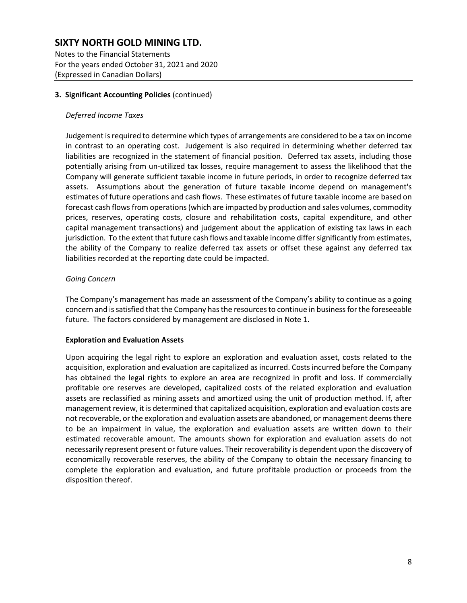Notes to the Financial Statements For the years ended October 31, 2021 and 2020 (Expressed in Canadian Dollars)

#### **3. Significant Accounting Policies** (continued)

#### *Deferred Income Taxes*

Judgement is required to determine which types of arrangements are considered to be a tax on income in contrast to an operating cost. Judgement is also required in determining whether deferred tax liabilities are recognized in the statement of financial position. Deferred tax assets, including those potentially arising from un-utilized tax losses, require management to assess the likelihood that the Company will generate sufficient taxable income in future periods, in order to recognize deferred tax assets. Assumptions about the generation of future taxable income depend on management's estimates of future operations and cash flows. These estimates of future taxable income are based on forecast cash flows from operations (which are impacted by production and sales volumes, commodity prices, reserves, operating costs, closure and rehabilitation costs, capital expenditure, and other capital management transactions) and judgement about the application of existing tax laws in each jurisdiction. To the extent that future cash flows and taxable income differ significantly from estimates, the ability of the Company to realize deferred tax assets or offset these against any deferred tax liabilities recorded at the reporting date could be impacted.

### *Going Concern*

The Company's management has made an assessment of the Company's ability to continue as a going concern and is satisfied that the Company has the resources to continue in business for the foreseeable future. The factors considered by management are disclosed in Note 1.

#### **Exploration and Evaluation Assets**

Upon acquiring the legal right to explore an exploration and evaluation asset, costs related to the acquisition, exploration and evaluation are capitalized as incurred. Costs incurred before the Company has obtained the legal rights to explore an area are recognized in profit and loss. If commercially profitable ore reserves are developed, capitalized costs of the related exploration and evaluation assets are reclassified as mining assets and amortized using the unit of production method. If, after management review, it is determined that capitalized acquisition, exploration and evaluation costs are not recoverable, or the exploration and evaluation assets are abandoned, or management deems there to be an impairment in value, the exploration and evaluation assets are written down to their estimated recoverable amount. The amounts shown for exploration and evaluation assets do not necessarily represent present or future values. Their recoverability is dependent upon the discovery of economically recoverable reserves, the ability of the Company to obtain the necessary financing to complete the exploration and evaluation, and future profitable production or proceeds from the disposition thereof.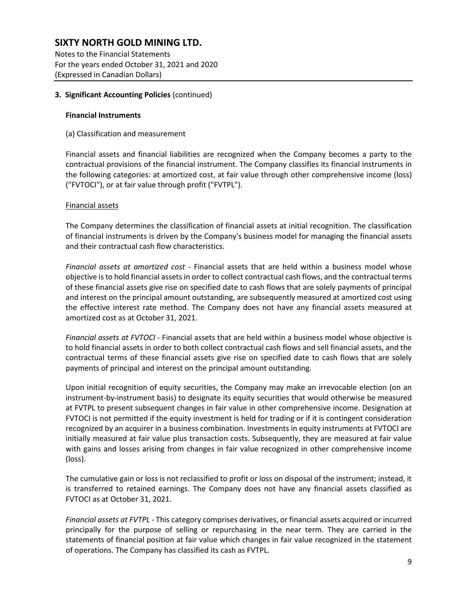Notes to the Financial Statements For the years ended October 31, 2021 and 2020 (Expressed in Canadian Dollars)

#### **3. Significant Accounting Policies** (continued)

#### **Financial Instruments**

(a) Classification and measurement

Financial assets and financial liabilities are recognized when the Company becomes a party to the contractual provisions of the financial instrument. The Company classifies its financial instruments in the following categories: at amortized cost, at fair value through other comprehensive income (loss) ("FVTOCI"), or at fair value through profit ("FVTPL").

#### Financial assets

The Company determines the classification of financial assets at initial recognition. The classification of financial instruments is driven by the Company's business model for managing the financial assets and their contractual cash flow characteristics.

*Financial assets at amortized cost* - Financial assets that are held within a business model whose objective is to hold financial assets in order to collect contractual cash flows, and the contractual terms of these financial assets give rise on specified date to cash flows that are solely payments of principal and interest on the principal amount outstanding, are subsequently measured at amortized cost using the effective interest rate method. The Company does not have any financial assets measured at amortized cost as at October 31, 2021.

*Financial assets at FVTOCI* - Financial assets that are held within a business model whose objective is to hold financial assets in order to both collect contractual cash flows and sell financial assets, and the contractual terms of these financial assets give rise on specified date to cash flows that are solely payments of principal and interest on the principal amount outstanding.

Upon initial recognition of equity securities, the Company may make an irrevocable election (on an instrument-by-instrument basis) to designate its equity securities that would otherwise be measured at FVTPL to present subsequent changes in fair value in other comprehensive income. Designation at FVTOCI is not permitted if the equity investment is held for trading or if it is contingent consideration recognized by an acquirer in a business combination. Investments in equity instruments at FVTOCI are initially measured at fair value plus transaction costs. Subsequently, they are measured at fair value with gains and losses arising from changes in fair value recognized in other comprehensive income (loss).

The cumulative gain or loss is not reclassified to profit or loss on disposal of the instrument; instead, it is transferred to retained earnings. The Company does not have any financial assets classified as FVTOCI as at October 31, 2021.

*Financial assets at FVTPL* - This category comprises derivatives, or financial assets acquired or incurred principally for the purpose of selling or repurchasing in the near term. They are carried in the statements of financial position at fair value which changes in fair value recognized in the statement of operations. The Company has classified its cash as FVTPL.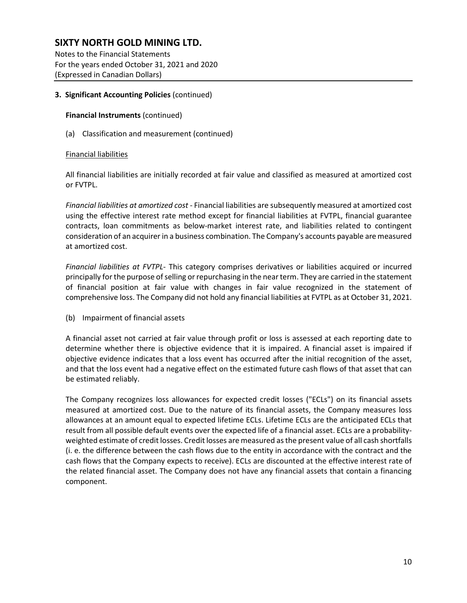Notes to the Financial Statements For the years ended October 31, 2021 and 2020 (Expressed in Canadian Dollars)

#### **3. Significant Accounting Policies** (continued)

**Financial Instruments** (continued)

(a) Classification and measurement (continued)

#### Financial liabilities

All financial liabilities are initially recorded at fair value and classified as measured at amortized cost or FVTPL.

*Financial liabilities at amortized cost* - Financial liabilities are subsequently measured at amortized cost using the effective interest rate method except for financial liabilities at FVTPL, financial guarantee contracts, loan commitments as below-market interest rate, and liabilities related to contingent consideration of an acquirer in a business combination. The Company's accounts payable are measured at amortized cost.

*Financial liabilities at FVTPL*- This category comprises derivatives or liabilities acquired or incurred principally for the purpose of selling or repurchasing in the near term. They are carried in the statement of financial position at fair value with changes in fair value recognized in the statement of comprehensive loss. The Company did not hold any financial liabilities at FVTPL as at October 31, 2021.

(b) Impairment of financial assets

A financial asset not carried at fair value through profit or loss is assessed at each reporting date to determine whether there is objective evidence that it is impaired. A financial asset is impaired if objective evidence indicates that a loss event has occurred after the initial recognition of the asset, and that the loss event had a negative effect on the estimated future cash flows of that asset that can be estimated reliably.

The Company recognizes loss allowances for expected credit losses ("ECLs") on its financial assets measured at amortized cost. Due to the nature of its financial assets, the Company measures loss allowances at an amount equal to expected lifetime ECLs. Lifetime ECLs are the anticipated ECLs that result from all possible default events over the expected life of a financial asset. ECLs are a probabilityweighted estimate of credit losses. Credit losses are measured as the present value of all cash shortfalls (i. e. the difference between the cash flows due to the entity in accordance with the contract and the cash flows that the Company expects to receive). ECLs are discounted at the effective interest rate of the related financial asset. The Company does not have any financial assets that contain a financing component.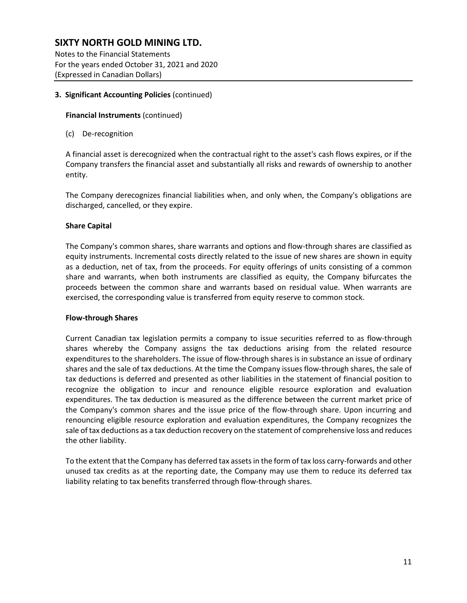Notes to the Financial Statements For the years ended October 31, 2021 and 2020 (Expressed in Canadian Dollars)

#### **3. Significant Accounting Policies** (continued)

**Financial Instruments** (continued)

(c) De-recognition

A financial asset is derecognized when the contractual right to the asset's cash flows expires, or if the Company transfers the financial asset and substantially all risks and rewards of ownership to another entity.

The Company derecognizes financial liabilities when, and only when, the Company's obligations are discharged, cancelled, or they expire.

#### **Share Capital**

The Company's common shares, share warrants and options and flow-through shares are classified as equity instruments. Incremental costs directly related to the issue of new shares are shown in equity as a deduction, net of tax, from the proceeds. For equity offerings of units consisting of a common share and warrants, when both instruments are classified as equity, the Company bifurcates the proceeds between the common share and warrants based on residual value. When warrants are exercised, the corresponding value is transferred from equity reserve to common stock.

#### **Flow-through Shares**

Current Canadian tax legislation permits a company to issue securities referred to as flow-through shares whereby the Company assigns the tax deductions arising from the related resource expenditures to the shareholders. The issue of flow-through shares is in substance an issue of ordinary shares and the sale of tax deductions. At the time the Company issues flow-through shares, the sale of tax deductions is deferred and presented as other liabilities in the statement of financial position to recognize the obligation to incur and renounce eligible resource exploration and evaluation expenditures. The tax deduction is measured as the difference between the current market price of the Company's common shares and the issue price of the flow-through share. Upon incurring and renouncing eligible resource exploration and evaluation expenditures, the Company recognizes the sale of tax deductions as a tax deduction recovery on the statement of comprehensive loss and reduces the other liability.

To the extent that the Company has deferred tax assets in the form of tax loss carry-forwards and other unused tax credits as at the reporting date, the Company may use them to reduce its deferred tax liability relating to tax benefits transferred through flow-through shares.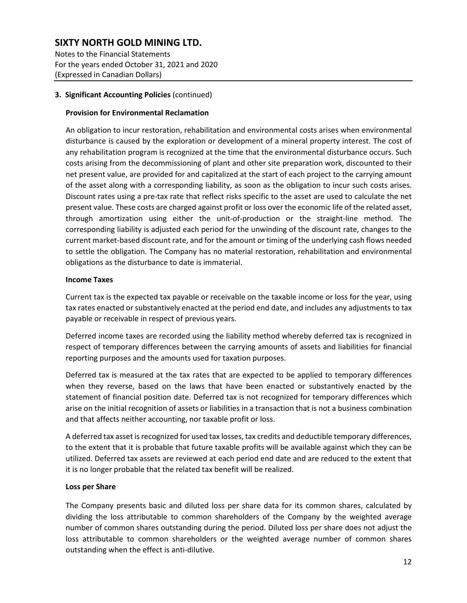Notes to the Financial Statements For the years ended October 31, 2021 and 2020 (Expressed in Canadian Dollars)

### **3. Significant Accounting Policies** (continued)

### **Provision for Environmental Reclamation**

An obligation to incur restoration, rehabilitation and environmental costs arises when environmental disturbance is caused by the exploration or development of a mineral property interest. The cost of any rehabilitation program is recognized at the time that the environmental disturbance occurs. Such costs arising from the decommissioning of plant and other site preparation work, discounted to their net present value, are provided for and capitalized at the start of each project to the carrying amount of the asset along with a corresponding liability, as soon as the obligation to incur such costs arises. Discount rates using a pre-tax rate that reflect risks specific to the asset are used to calculate the net present value. These costs are charged against profit or loss over the economic life of the related asset, through amortization using either the unit-of-production or the straight-line method. The corresponding liability is adjusted each period for the unwinding of the discount rate, changes to the current market-based discount rate, and for the amount or timing of the underlying cash flows needed to settle the obligation. The Company has no material restoration, rehabilitation and environmental obligations as the disturbance to date is immaterial.

#### **Income Taxes**

Current tax is the expected tax payable or receivable on the taxable income or loss for the year, using tax rates enacted or substantively enacted at the period end date, and includes any adjustments to tax payable or receivable in respect of previous years.

Deferred income taxes are recorded using the liability method whereby deferred tax is recognized in respect of temporary differences between the carrying amounts of assets and liabilities for financial reporting purposes and the amounts used for taxation purposes.

Deferred tax is measured at the tax rates that are expected to be applied to temporary differences when they reverse, based on the laws that have been enacted or substantively enacted by the statement of financial position date. Deferred tax is not recognized for temporary differences which arise on the initial recognition of assets or liabilities in a transaction that is not a business combination and that affects neither accounting, nor taxable profit or loss.

A deferred tax asset is recognized for used tax losses, tax credits and deductible temporary differences, to the extent that it is probable that future taxable profits will be available against which they can be utilized. Deferred tax assets are reviewed at each period end date and are reduced to the extent that it is no longer probable that the related tax benefit will be realized.

### **Loss per Share**

The Company presents basic and diluted loss per share data for its common shares, calculated by dividing the loss attributable to common shareholders of the Company by the weighted average number of common shares outstanding during the period. Diluted loss per share does not adjust the loss attributable to common shareholders or the weighted average number of common shares outstanding when the effect is anti-dilutive.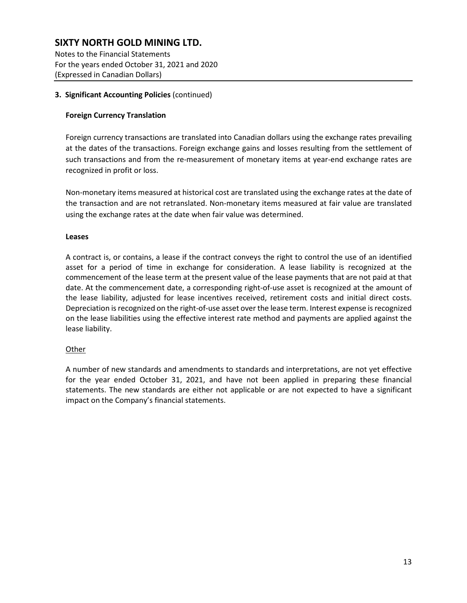Notes to the Financial Statements For the years ended October 31, 2021 and 2020 (Expressed in Canadian Dollars)

### **3. Significant Accounting Policies** (continued)

#### **Foreign Currency Translation**

Foreign currency transactions are translated into Canadian dollars using the exchange rates prevailing at the dates of the transactions. Foreign exchange gains and losses resulting from the settlement of such transactions and from the re-measurement of monetary items at year-end exchange rates are recognized in profit or loss.

Non-monetary items measured at historical cost are translated using the exchange rates at the date of the transaction and are not retranslated. Non-monetary items measured at fair value are translated using the exchange rates at the date when fair value was determined.

#### **Leases**

A contract is, or contains, a lease if the contract conveys the right to control the use of an identified asset for a period of time in exchange for consideration. A lease liability is recognized at the commencement of the lease term at the present value of the lease payments that are not paid at that date. At the commencement date, a corresponding right-of-use asset is recognized at the amount of the lease liability, adjusted for lease incentives received, retirement costs and initial direct costs. Depreciation is recognized on the right-of-use asset over the lease term. Interest expense is recognized on the lease liabilities using the effective interest rate method and payments are applied against the lease liability.

#### **Other**

A number of new standards and amendments to standards and interpretations, are not yet effective for the year ended October 31, 2021, and have not been applied in preparing these financial statements. The new standards are either not applicable or are not expected to have a significant impact on the Company's financial statements.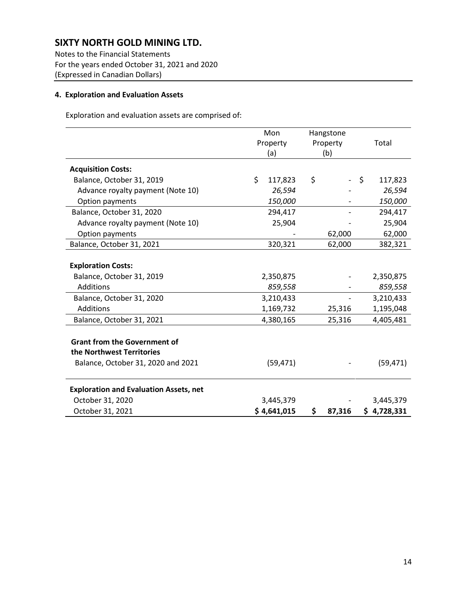Notes to the Financial Statements For the years ended October 31, 2021 and 2020 (Expressed in Canadian Dollars)

#### **4. Exploration and Evaluation Assets**

Exploration and evaluation assets are comprised of:

|                                                                                                        | Mon<br>Property | Hangstone<br>Property | Total         |
|--------------------------------------------------------------------------------------------------------|-----------------|-----------------------|---------------|
|                                                                                                        | (a)             | (b)                   |               |
| <b>Acquisition Costs:</b>                                                                              |                 |                       |               |
| Balance, October 31, 2019                                                                              | \$<br>117,823   | \$                    | \$<br>117,823 |
| Advance royalty payment (Note 10)                                                                      | 26,594          |                       | 26,594        |
| Option payments                                                                                        | 150,000         |                       | 150,000       |
| Balance, October 31, 2020                                                                              | 294,417         |                       | 294,417       |
| Advance royalty payment (Note 10)                                                                      | 25,904          |                       | 25,904        |
| Option payments                                                                                        |                 | 62,000                | 62,000        |
| Balance, October 31, 2021                                                                              | 320,321         | 62,000                | 382,321       |
| <b>Exploration Costs:</b>                                                                              |                 |                       |               |
| Balance, October 31, 2019                                                                              | 2,350,875       |                       | 2,350,875     |
| <b>Additions</b>                                                                                       | 859,558         |                       | 859,558       |
| Balance, October 31, 2020                                                                              | 3,210,433       |                       | 3,210,433     |
| <b>Additions</b>                                                                                       | 1,169,732       | 25,316                | 1,195,048     |
| Balance, October 31, 2021                                                                              | 4,380,165       | 25,316                | 4,405,481     |
| <b>Grant from the Government of</b><br>the Northwest Territories<br>Balance, October 31, 2020 and 2021 | (59, 471)       |                       | (59, 471)     |
| <b>Exploration and Evaluation Assets, net</b>                                                          |                 |                       |               |
| October 31, 2020                                                                                       | 3,445,379       |                       | 3,445,379     |
| October 31, 2021                                                                                       | \$4,641,015     | \$<br>87,316          | \$4,728,331   |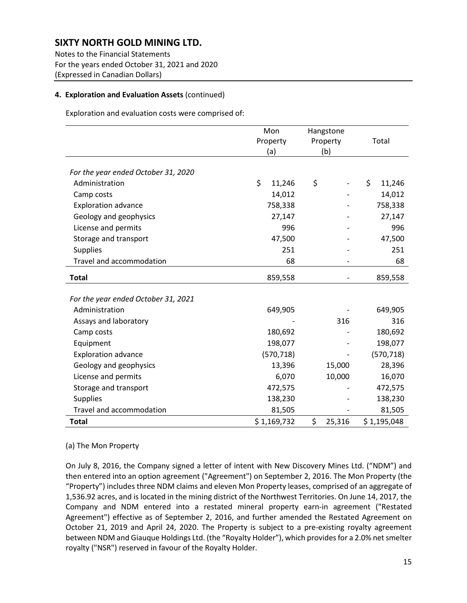Notes to the Financial Statements For the years ended October 31, 2021 and 2020 (Expressed in Canadian Dollars)

### **4. Exploration and Evaluation Assets** (continued)

Exploration and evaluation costs were comprised of:

|                                     | Mon<br>Property | Hangstone<br>Property | Total        |
|-------------------------------------|-----------------|-----------------------|--------------|
|                                     | (a)             | (b)                   |              |
| For the year ended October 31, 2020 |                 |                       |              |
| Administration                      | \$<br>11,246    | \$                    | \$<br>11,246 |
| Camp costs                          | 14,012          |                       | 14,012       |
| <b>Exploration advance</b>          | 758,338         |                       | 758,338      |
| Geology and geophysics              | 27,147          |                       | 27,147       |
| License and permits                 | 996             |                       | 996          |
| Storage and transport               | 47,500          |                       | 47,500       |
| <b>Supplies</b>                     | 251             |                       | 251          |
| Travel and accommodation            | 68              |                       | 68           |
| <b>Total</b>                        | 859,558         |                       | 859,558      |
|                                     |                 |                       |              |
| For the year ended October 31, 2021 |                 |                       |              |
| Administration                      | 649,905         |                       | 649,905      |
| Assays and laboratory               |                 | 316                   | 316          |
| Camp costs                          | 180,692         |                       | 180,692      |
| Equipment                           | 198,077         |                       | 198,077      |
| <b>Exploration advance</b>          | (570, 718)      |                       | (570, 718)   |
| Geology and geophysics              | 13,396          | 15,000                | 28,396       |
| License and permits                 | 6,070           | 10,000                | 16,070       |
| Storage and transport               | 472,575         |                       | 472,575      |
| <b>Supplies</b>                     | 138,230         |                       | 138,230      |
| Travel and accommodation            | 81,505          |                       | 81,505       |
| <b>Total</b>                        | \$1,169,732     | \$<br>25,316          | \$1,195,048  |

#### (a) The Mon Property

On July 8, 2016, the Company signed a letter of intent with New Discovery Mines Ltd. ("NDM") and then entered into an option agreement ("Agreement") on September 2, 2016. The Mon Property (the "Property") includes three NDM claims and eleven Mon Property leases, comprised of an aggregate of 1,536.92 acres, and is located in the mining district of the Northwest Territories. On June 14, 2017, the Company and NDM entered into a restated mineral property earn-in agreement ("Restated Agreement") effective as of September 2, 2016, and further amended the Restated Agreement on October 21, 2019 and April 24, 2020. The Property is subject to a pre-existing royalty agreement between NDM and Giauque Holdings Ltd. (the "Royalty Holder"), which provides for a 2.0% net smelter royalty ("NSR") reserved in favour of the Royalty Holder.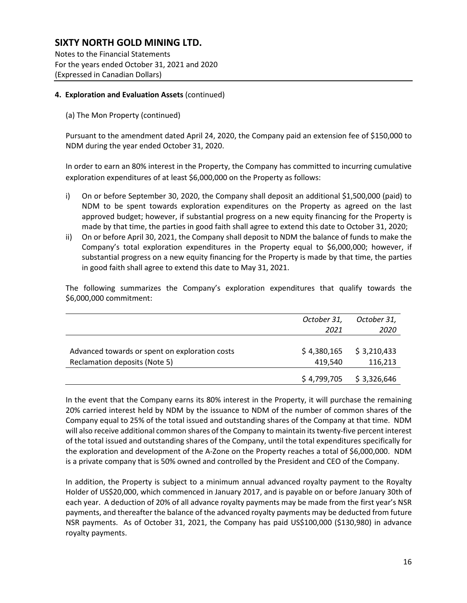Notes to the Financial Statements For the years ended October 31, 2021 and 2020 (Expressed in Canadian Dollars)

### **4. Exploration and Evaluation Assets** (continued)

(a) The Mon Property (continued)

Pursuant to the amendment dated April 24, 2020, the Company paid an extension fee of \$150,000 to NDM during the year ended October 31, 2020.

In order to earn an 80% interest in the Property, the Company has committed to incurring cumulative exploration expenditures of at least \$6,000,000 on the Property as follows:

- i) On or before September 30, 2020, the Company shall deposit an additional \$1,500,000 (paid) to NDM to be spent towards exploration expenditures on the Property as agreed on the last approved budget; however, if substantial progress on a new equity financing for the Property is made by that time, the parties in good faith shall agree to extend this date to October 31, 2020;
- ii) On or before April 30, 2021, the Company shall deposit to NDM the balance of funds to make the Company's total exploration expenditures in the Property equal to \$6,000,000; however, if substantial progress on a new equity financing for the Property is made by that time, the parties in good faith shall agree to extend this date to May 31, 2021.

The following summarizes the Company's exploration expenditures that qualify towards the \$6,000,000 commitment:

|                                                                                 | October 31,<br>2021    | October 31,<br>2020    |
|---------------------------------------------------------------------------------|------------------------|------------------------|
| Advanced towards or spent on exploration costs<br>Reclamation deposits (Note 5) | \$4,380,165<br>419.540 | \$3,210,433<br>116,213 |
|                                                                                 | \$4,799,705            | \$3,326,646            |

In the event that the Company earns its 80% interest in the Property, it will purchase the remaining 20% carried interest held by NDM by the issuance to NDM of the number of common shares of the Company equal to 25% of the total issued and outstanding shares of the Company at that time. NDM will also receive additional common shares of the Company to maintain its twenty-five percent interest of the total issued and outstanding shares of the Company, until the total expenditures specifically for the exploration and development of the A-Zone on the Property reaches a total of \$6,000,000. NDM is a private company that is 50% owned and controlled by the President and CEO of the Company.

In addition, the Property is subject to a minimum annual advanced royalty payment to the Royalty Holder of US\$20,000, which commenced in January 2017, and is payable on or before January 30th of each year. A deduction of 20% of all advance royalty payments may be made from the first year's NSR payments, and thereafter the balance of the advanced royalty payments may be deducted from future NSR payments. As of October 31, 2021, the Company has paid US\$100,000 (\$130,980) in advance royalty payments.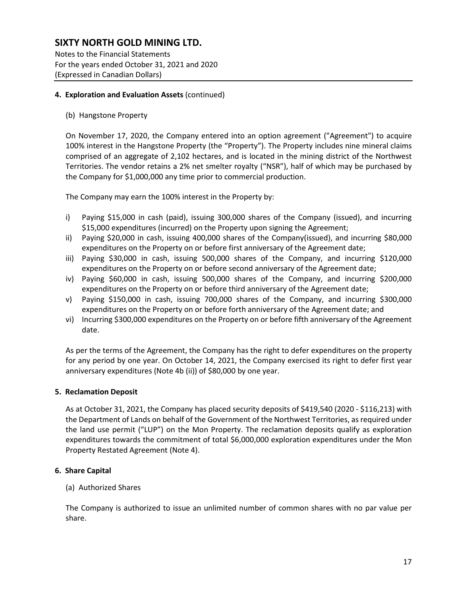Notes to the Financial Statements For the years ended October 31, 2021 and 2020 (Expressed in Canadian Dollars)

### **4. Exploration and Evaluation Assets** (continued)

(b) Hangstone Property

On November 17, 2020, the Company entered into an option agreement ("Agreement") to acquire 100% interest in the Hangstone Property (the "Property"). The Property includes nine mineral claims comprised of an aggregate of 2,102 hectares, and is located in the mining district of the Northwest Territories. The vendor retains a 2% net smelter royalty ("NSR"), half of which may be purchased by the Company for \$1,000,000 any time prior to commercial production.

The Company may earn the 100% interest in the Property by:

- i) Paying \$15,000 in cash (paid), issuing 300,000 shares of the Company (issued), and incurring \$15,000 expenditures (incurred) on the Property upon signing the Agreement;
- ii) Paying \$20,000 in cash, issuing 400,000 shares of the Company(issued), and incurring \$80,000 expenditures on the Property on or before first anniversary of the Agreement date;
- iii) Paying \$30,000 in cash, issuing 500,000 shares of the Company, and incurring \$120,000 expenditures on the Property on or before second anniversary of the Agreement date;
- iv) Paying \$60,000 in cash, issuing 500,000 shares of the Company, and incurring \$200,000 expenditures on the Property on or before third anniversary of the Agreement date;
- v) Paying \$150,000 in cash, issuing 700,000 shares of the Company, and incurring \$300,000 expenditures on the Property on or before forth anniversary of the Agreement date; and
- vi) Incurring \$300,000 expenditures on the Property on or before fifth anniversary of the Agreement date.

As per the terms of the Agreement, the Company has the right to defer expenditures on the property for any period by one year. On October 14, 2021, the Company exercised its right to defer first year anniversary expenditures (Note 4b (ii)) of \$80,000 by one year.

### **5. Reclamation Deposit**

As at October 31, 2021, the Company has placed security deposits of \$419,540 (2020 - \$116,213) with the Department of Lands on behalf of the Government of the Northwest Territories, as required under the land use permit ("LUP") on the Mon Property. The reclamation deposits qualify as exploration expenditures towards the commitment of total \$6,000,000 exploration expenditures under the Mon Property Restated Agreement (Note 4).

#### **6. Share Capital**

(a) Authorized Shares

The Company is authorized to issue an unlimited number of common shares with no par value per share.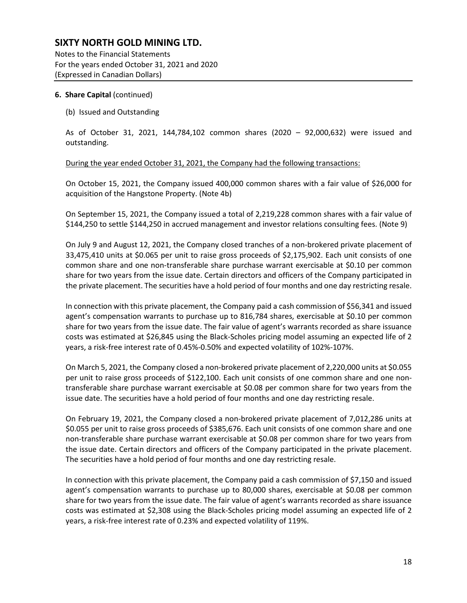Notes to the Financial Statements For the years ended October 31, 2021 and 2020 (Expressed in Canadian Dollars)

#### **6. Share Capital** (continued)

(b) Issued and Outstanding

As of October 31, 2021, 144,784,102 common shares (2020 – 92,000,632) were issued and outstanding.

During the year ended October 31, 2021, the Company had the following transactions:

On October 15, 2021, the Company issued 400,000 common shares with a fair value of \$26,000 for acquisition of the Hangstone Property. (Note 4b)

On September 15, 2021, the Company issued a total of 2,219,228 common shares with a fair value of \$144,250 to settle \$144,250 in accrued management and investor relations consulting fees. (Note 9)

On July 9 and August 12, 2021, the Company closed tranches of a non-brokered private placement of 33,475,410 units at \$0.065 per unit to raise gross proceeds of \$2,175,902. Each unit consists of one common share and one non-transferable share purchase warrant exercisable at \$0.10 per common share for two years from the issue date. Certain directors and officers of the Company participated in the private placement. The securities have a hold period of four months and one day restricting resale.

In connection with this private placement, the Company paid a cash commission of \$56,341 and issued agent's compensation warrants to purchase up to 816,784 shares, exercisable at \$0.10 per common share for two years from the issue date. The fair value of agent's warrants recorded as share issuance costs was estimated at \$26,845 using the Black-Scholes pricing model assuming an expected life of 2 years, a risk-free interest rate of 0.45%-0.50% and expected volatility of 102%-107%.

On March 5, 2021, the Company closed a non-brokered private placement of 2,220,000 units at \$0.055 per unit to raise gross proceeds of \$122,100. Each unit consists of one common share and one nontransferable share purchase warrant exercisable at \$0.08 per common share for two years from the issue date. The securities have a hold period of four months and one day restricting resale.

On February 19, 2021, the Company closed a non-brokered private placement of 7,012,286 units at \$0.055 per unit to raise gross proceeds of \$385,676. Each unit consists of one common share and one non-transferable share purchase warrant exercisable at \$0.08 per common share for two years from the issue date. Certain directors and officers of the Company participated in the private placement. The securities have a hold period of four months and one day restricting resale.

In connection with this private placement, the Company paid a cash commission of \$7,150 and issued agent's compensation warrants to purchase up to 80,000 shares, exercisable at \$0.08 per common share for two years from the issue date. The fair value of agent's warrants recorded as share issuance costs was estimated at \$2,308 using the Black-Scholes pricing model assuming an expected life of 2 years, a risk-free interest rate of 0.23% and expected volatility of 119%.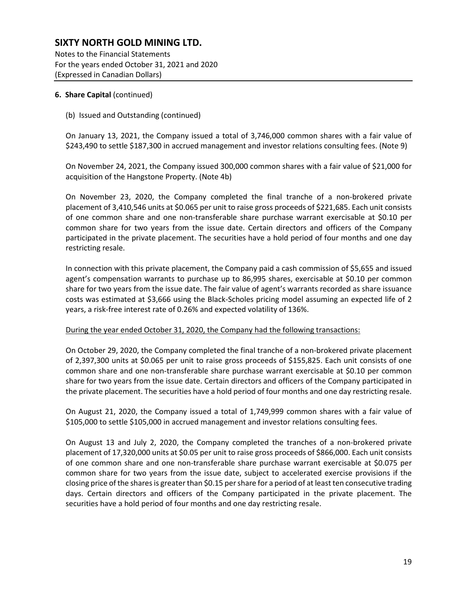Notes to the Financial Statements For the years ended October 31, 2021 and 2020 (Expressed in Canadian Dollars)

### **6. Share Capital** (continued)

(b) Issued and Outstanding (continued)

On January 13, 2021, the Company issued a total of 3,746,000 common shares with a fair value of \$243,490 to settle \$187,300 in accrued management and investor relations consulting fees. (Note 9)

On November 24, 2021, the Company issued 300,000 common shares with a fair value of \$21,000 for acquisition of the Hangstone Property. (Note 4b)

On November 23, 2020, the Company completed the final tranche of a non-brokered private placement of 3,410,546 units at \$0.065 per unit to raise gross proceeds of \$221,685. Each unit consists of one common share and one non-transferable share purchase warrant exercisable at \$0.10 per common share for two years from the issue date. Certain directors and officers of the Company participated in the private placement. The securities have a hold period of four months and one day restricting resale.

In connection with this private placement, the Company paid a cash commission of \$5,655 and issued agent's compensation warrants to purchase up to 86,995 shares, exercisable at \$0.10 per common share for two years from the issue date. The fair value of agent's warrants recorded as share issuance costs was estimated at \$3,666 using the Black-Scholes pricing model assuming an expected life of 2 years, a risk-free interest rate of 0.26% and expected volatility of 136%.

#### During the year ended October 31, 2020, the Company had the following transactions:

On October 29, 2020, the Company completed the final tranche of a non-brokered private placement of 2,397,300 units at \$0.065 per unit to raise gross proceeds of \$155,825. Each unit consists of one common share and one non-transferable share purchase warrant exercisable at \$0.10 per common share for two years from the issue date. Certain directors and officers of the Company participated in the private placement. The securities have a hold period of four months and one day restricting resale.

On August 21, 2020, the Company issued a total of 1,749,999 common shares with a fair value of \$105,000 to settle \$105,000 in accrued management and investor relations consulting fees.

On August 13 and July 2, 2020, the Company completed the tranches of a non-brokered private placement of 17,320,000 units at \$0.05 per unit to raise gross proceeds of \$866,000. Each unit consists of one common share and one non-transferable share purchase warrant exercisable at \$0.075 per common share for two years from the issue date, subject to accelerated exercise provisions if the closing price of the shares is greater than \$0.15 per share for a period of at least ten consecutive trading days. Certain directors and officers of the Company participated in the private placement. The securities have a hold period of four months and one day restricting resale.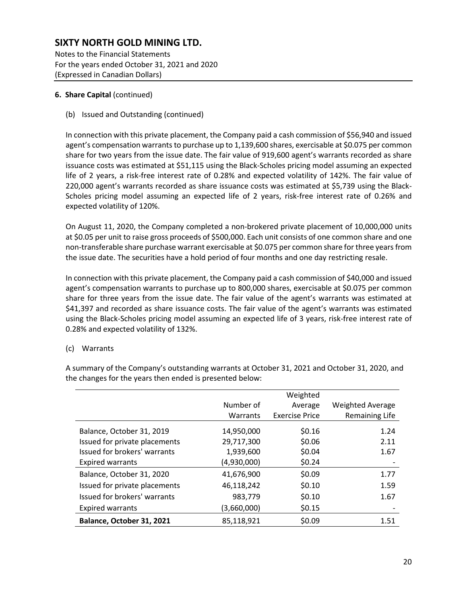Notes to the Financial Statements For the years ended October 31, 2021 and 2020 (Expressed in Canadian Dollars)

### **6. Share Capital** (continued)

(b) Issued and Outstanding (continued)

In connection with this private placement, the Company paid a cash commission of \$56,940 and issued agent's compensation warrants to purchase up to 1,139,600 shares, exercisable at \$0.075 per common share for two years from the issue date. The fair value of 919,600 agent's warrants recorded as share issuance costs was estimated at \$51,115 using the Black-Scholes pricing model assuming an expected life of 2 years, a risk-free interest rate of 0.28% and expected volatility of 142%. The fair value of 220,000 agent's warrants recorded as share issuance costs was estimated at \$5,739 using the Black-Scholes pricing model assuming an expected life of 2 years, risk-free interest rate of 0.26% and expected volatility of 120%.

On August 11, 2020, the Company completed a non-brokered private placement of 10,000,000 units at \$0.05 per unit to raise gross proceeds of \$500,000. Each unit consists of one common share and one non-transferable share purchase warrant exercisable at \$0.075 per common share for three years from the issue date. The securities have a hold period of four months and one day restricting resale.

In connection with this private placement, the Company paid a cash commission of \$40,000 and issued agent's compensation warrants to purchase up to 800,000 shares, exercisable at \$0.075 per common share for three years from the issue date. The fair value of the agent's warrants was estimated at \$41,397 and recorded as share issuance costs. The fair value of the agent's warrants was estimated using the Black-Scholes pricing model assuming an expected life of 3 years, risk-free interest rate of 0.28% and expected volatility of 132%.

### (c) Warrants

A summary of the Company's outstanding warrants at October 31, 2021 and October 31, 2020, and the changes for the years then ended is presented below:

|                               |             | Weighted              |                         |
|-------------------------------|-------------|-----------------------|-------------------------|
|                               | Number of   | Average               | <b>Weighted Average</b> |
|                               | Warrants    | <b>Exercise Price</b> | Remaining Life          |
| Balance, October 31, 2019     | 14,950,000  | \$0.16                | 1.24                    |
| Issued for private placements | 29,717,300  | \$0.06                | 2.11                    |
| Issued for brokers' warrants  | 1,939,600   | \$0.04                | 1.67                    |
| <b>Expired warrants</b>       | (4,930,000) | \$0.24                |                         |
| Balance, October 31, 2020     | 41,676,900  | \$0.09                | 1.77                    |
| Issued for private placements | 46,118,242  | \$0.10                | 1.59                    |
| Issued for brokers' warrants  | 983,779     | \$0.10                | 1.67                    |
| <b>Expired warrants</b>       | (3,660,000) | \$0.15                |                         |
| Balance, October 31, 2021     | 85,118,921  | \$0.09                | 1.51                    |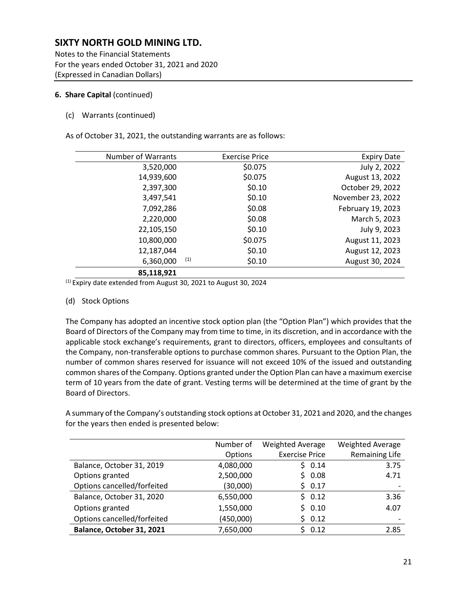Notes to the Financial Statements For the years ended October 31, 2021 and 2020 (Expressed in Canadian Dollars)

### **6. Share Capital** (continued)

(c) Warrants (continued)

As of October 31, 2021, the outstanding warrants are as follows:

| <b>Number of Warrants</b> | <b>Exercise Price</b> | <b>Expiry Date</b> |
|---------------------------|-----------------------|--------------------|
| 3,520,000                 | \$0.075               | July 2, 2022       |
| 14,939,600                | \$0.075               | August 13, 2022    |
| 2,397,300                 | \$0.10                | October 29, 2022   |
| 3,497,541                 | \$0.10                | November 23, 2022  |
| 7,092,286                 | \$0.08                | February 19, 2023  |
| 2,220,000                 | \$0.08                | March 5, 2023      |
| 22,105,150                | \$0.10                | July 9, 2023       |
| 10,800,000                | \$0.075               | August 11, 2023    |
| 12,187,044                | \$0.10                | August 12, 2023    |
| 6,360,000                 | (1)<br>\$0.10         | August 30, 2024    |
| 85,118,921                |                       |                    |

(1) Expiry date extended from August 30, 2021 to August 30, 2024

#### (d) Stock Options

The Company has adopted an incentive stock option plan (the "Option Plan") which provides that the Board of Directors of the Company may from time to time, in its discretion, and in accordance with the applicable stock exchange's requirements, grant to directors, officers, employees and consultants of the Company, non-transferable options to purchase common shares. Pursuant to the Option Plan, the number of common shares reserved for issuance will not exceed 10% of the issued and outstanding common shares of the Company. Options granted under the Option Plan can have a maximum exercise term of 10 years from the date of grant. Vesting terms will be determined at the time of grant by the Board of Directors.

A summary of the Company's outstanding stock options at October 31, 2021 and 2020, and the changes for the years then ended is presented below:

|                             | Number of | Weighted Average      | <b>Weighted Average</b> |
|-----------------------------|-----------|-----------------------|-------------------------|
|                             | Options   | <b>Exercise Price</b> | <b>Remaining Life</b>   |
| Balance, October 31, 2019   | 4,080,000 | \$0.14                | 3.75                    |
| Options granted             | 2,500,000 | \$0.08                | 4.71                    |
| Options cancelled/forfeited | (30,000)  | \$0.17                |                         |
| Balance, October 31, 2020   | 6,550,000 | \$0.12                | 3.36                    |
| Options granted             | 1,550,000 | \$0.10                | 4.07                    |
| Options cancelled/forfeited | (450,000) | \$0.12                |                         |
| Balance, October 31, 2021   | 7,650,000 | 0.12                  | 2.85                    |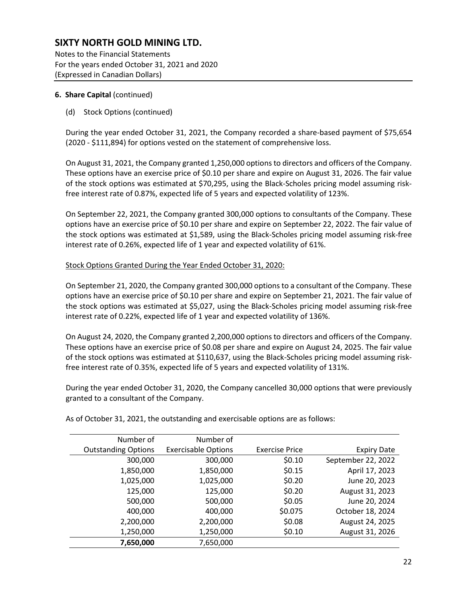Notes to the Financial Statements For the years ended October 31, 2021 and 2020 (Expressed in Canadian Dollars)

### **6. Share Capital** (continued)

(d) Stock Options (continued)

During the year ended October 31, 2021, the Company recorded a share-based payment of \$75,654 (2020 - \$111,894) for options vested on the statement of comprehensive loss.

On August 31, 2021, the Company granted 1,250,000 options to directors and officers of the Company. These options have an exercise price of \$0.10 per share and expire on August 31, 2026. The fair value of the stock options was estimated at \$70,295, using the Black-Scholes pricing model assuming riskfree interest rate of 0.87%, expected life of 5 years and expected volatility of 123%.

On September 22, 2021, the Company granted 300,000 options to consultants of the Company. These options have an exercise price of \$0.10 per share and expire on September 22, 2022. The fair value of the stock options was estimated at \$1,589, using the Black-Scholes pricing model assuming risk-free interest rate of 0.26%, expected life of 1 year and expected volatility of 61%.

### Stock Options Granted During the Year Ended October 31, 2020:

On September 21, 2020, the Company granted 300,000 options to a consultant of the Company. These options have an exercise price of \$0.10 per share and expire on September 21, 2021. The fair value of the stock options was estimated at \$5,027, using the Black-Scholes pricing model assuming risk-free interest rate of 0.22%, expected life of 1 year and expected volatility of 136%.

On August 24, 2020, the Company granted 2,200,000 options to directors and officers of the Company. These options have an exercise price of \$0.08 per share and expire on August 24, 2025. The fair value of the stock options was estimated at \$110,637, using the Black-Scholes pricing model assuming riskfree interest rate of 0.35%, expected life of 5 years and expected volatility of 131%.

During the year ended October 31, 2020, the Company cancelled 30,000 options that were previously granted to a consultant of the Company.

| Number of                  | Number of                  |                       |                    |
|----------------------------|----------------------------|-----------------------|--------------------|
| <b>Outstanding Options</b> | <b>Exercisable Options</b> | <b>Exercise Price</b> | <b>Expiry Date</b> |
| 300,000                    | 300,000                    | \$0.10                | September 22, 2022 |
| 1,850,000                  | 1,850,000                  | \$0.15                | April 17, 2023     |
| 1,025,000                  | 1,025,000                  | \$0.20                | June 20, 2023      |
| 125,000                    | 125,000                    | \$0.20                | August 31, 2023    |
| 500,000                    | 500,000                    | \$0.05                | June 20, 2024      |
| 400,000                    | 400,000                    | \$0.075               | October 18, 2024   |
| 2,200,000                  | 2,200,000                  | \$0.08                | August 24, 2025    |
| 1,250,000                  | 1,250,000                  | \$0.10                | August 31, 2026    |
| 7,650,000                  | 7,650,000                  |                       |                    |

As of October 31, 2021, the outstanding and exercisable options are as follows: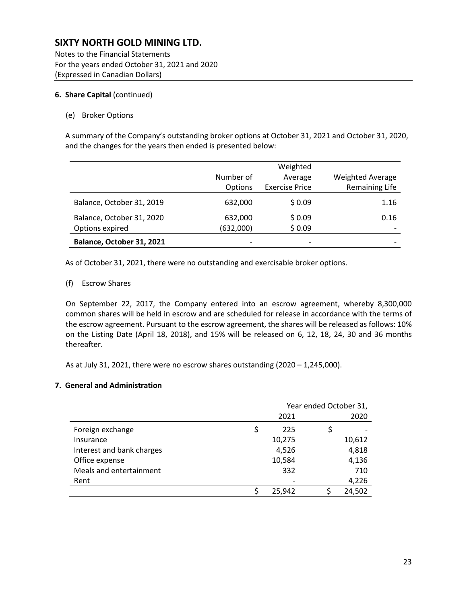Notes to the Financial Statements For the years ended October 31, 2021 and 2020 (Expressed in Canadian Dollars)

### **6. Share Capital** (continued)

#### (e) Broker Options

A summary of the Company's outstanding broker options at October 31, 2021 and October 31, 2020, and the changes for the years then ended is presented below:

|                           |           | Weighted              |                         |
|---------------------------|-----------|-----------------------|-------------------------|
|                           | Number of | Average               | <b>Weighted Average</b> |
|                           | Options   | <b>Exercise Price</b> | <b>Remaining Life</b>   |
| Balance, October 31, 2019 | 632,000   | \$0.09                | 1.16                    |
| Balance, October 31, 2020 | 632,000   | \$0.09                | 0.16                    |
| Options expired           | (632,000) | \$0.09                |                         |
| Balance, October 31, 2021 | -         | -                     |                         |

As of October 31, 2021, there were no outstanding and exercisable broker options.

#### (f) Escrow Shares

On September 22, 2017, the Company entered into an escrow agreement, whereby 8,300,000 common shares will be held in escrow and are scheduled for release in accordance with the terms of the escrow agreement. Pursuant to the escrow agreement, the shares will be released as follows: 10% on the Listing Date (April 18, 2018), and 15% will be released on 6, 12, 18, 24, 30 and 36 months thereafter.

As at July 31, 2021, there were no escrow shares outstanding  $(2020 - 1,245,000)$ .

#### **7. General and Administration**

|                           | Year ended October 31, |        |   |        |  |
|---------------------------|------------------------|--------|---|--------|--|
|                           |                        | 2021   |   | 2020   |  |
| Foreign exchange          | \$                     | 225    | Ş |        |  |
| Insurance                 |                        | 10,275 |   | 10,612 |  |
| Interest and bank charges |                        | 4,526  |   | 4,818  |  |
| Office expense            |                        | 10,584 |   | 4,136  |  |
| Meals and entertainment   |                        | 332    |   | 710    |  |
| Rent                      |                        |        |   | 4,226  |  |
|                           |                        | 25,942 |   | 24,502 |  |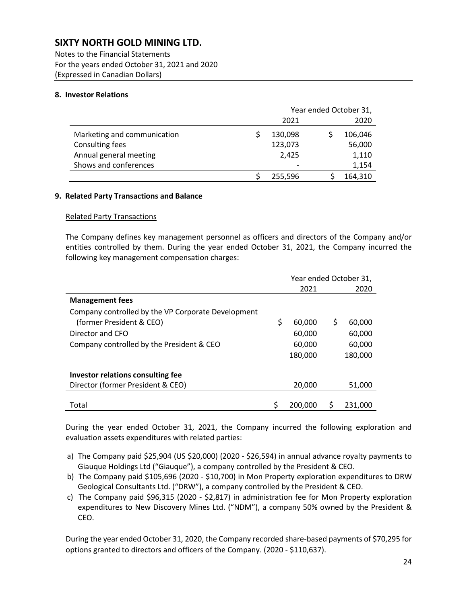Notes to the Financial Statements For the years ended October 31, 2021 and 2020 (Expressed in Canadian Dollars)

#### **8. Investor Relations**

|                             | Year ended October 31, |         |  |  |
|-----------------------------|------------------------|---------|--|--|
|                             | 2021                   | 2020    |  |  |
| Marketing and communication | 130,098                | 106,046 |  |  |
| Consulting fees             | 123,073                | 56,000  |  |  |
| Annual general meeting      | 2.425                  | 1,110   |  |  |
| Shows and conferences       |                        | 1,154   |  |  |
|                             | 255.596                | 164,310 |  |  |

#### **9. Related Party Transactions and Balance**

#### Related Party Transactions

The Company defines key management personnel as officers and directors of the Company and/or entities controlled by them. During the year ended October 31, 2021, the Company incurred the following key management compensation charges:

|                                                    | Year ended October 31, |   |         |
|----------------------------------------------------|------------------------|---|---------|
|                                                    | 2021                   |   | 2020    |
| <b>Management fees</b>                             |                        |   |         |
| Company controlled by the VP Corporate Development |                        |   |         |
| (former President & CEO)                           | \$<br>60,000           | S | 60,000  |
| Director and CFO                                   | 60,000                 |   | 60,000  |
| Company controlled by the President & CEO          | 60,000                 |   | 60,000  |
|                                                    | 180,000                |   | 180,000 |
|                                                    |                        |   |         |
| Investor relations consulting fee                  |                        |   |         |
| Director (former President & CEO)                  | 20,000                 |   | 51,000  |
|                                                    |                        |   |         |
| Total                                              | \$<br>200.000          |   | 231,000 |

During the year ended October 31, 2021, the Company incurred the following exploration and evaluation assets expenditures with related parties:

- a) The Company paid \$25,904 (US \$20,000) (2020 \$26,594) in annual advance royalty payments to Giauque Holdings Ltd ("Giauque"), a company controlled by the President & CEO.
- b) The Company paid \$105,696 (2020 \$10,700) in Mon Property exploration expenditures to DRW Geological Consultants Ltd. ("DRW"), a company controlled by the President & CEO.
- c) The Company paid \$96,315 (2020 \$2,817) in administration fee for Mon Property exploration expenditures to New Discovery Mines Ltd. ("NDM"), a company 50% owned by the President & CEO.

During the year ended October 31, 2020, the Company recorded share-based payments of \$70,295 for options granted to directors and officers of the Company. (2020 - \$110,637).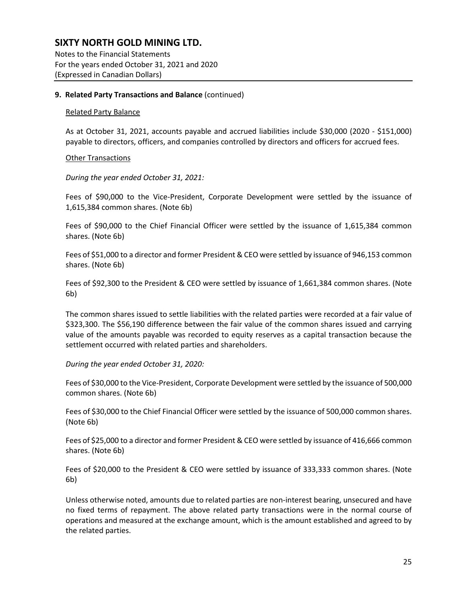Notes to the Financial Statements For the years ended October 31, 2021 and 2020 (Expressed in Canadian Dollars)

#### **9. Related Party Transactions and Balance** (continued)

#### Related Party Balance

As at October 31, 2021, accounts payable and accrued liabilities include \$30,000 (2020 - \$151,000) payable to directors, officers, and companies controlled by directors and officers for accrued fees.

#### Other Transactions

*During the year ended October 31, 2021:*

Fees of \$90,000 to the Vice-President, Corporate Development were settled by the issuance of 1,615,384 common shares. (Note 6b)

Fees of \$90,000 to the Chief Financial Officer were settled by the issuance of 1,615,384 common shares. (Note 6b)

Fees of \$51,000 to a director and former President & CEO were settled by issuance of 946,153 common shares. (Note 6b)

Fees of \$92,300 to the President & CEO were settled by issuance of 1,661,384 common shares. (Note 6b)

The common shares issued to settle liabilities with the related parties were recorded at a fair value of \$323,300. The \$56,190 difference between the fair value of the common shares issued and carrying value of the amounts payable was recorded to equity reserves as a capital transaction because the settlement occurred with related parties and shareholders.

#### *During the year ended October 31, 2020:*

Fees of \$30,000 to the Vice-President, Corporate Development were settled by the issuance of 500,000 common shares. (Note 6b)

Fees of \$30,000 to the Chief Financial Officer were settled by the issuance of 500,000 common shares. (Note 6b)

Fees of \$25,000 to a director and former President & CEO were settled by issuance of 416,666 common shares. (Note 6b)

Fees of \$20,000 to the President & CEO were settled by issuance of 333,333 common shares. (Note 6b)

Unless otherwise noted, amounts due to related parties are non-interest bearing, unsecured and have no fixed terms of repayment. The above related party transactions were in the normal course of operations and measured at the exchange amount, which is the amount established and agreed to by the related parties.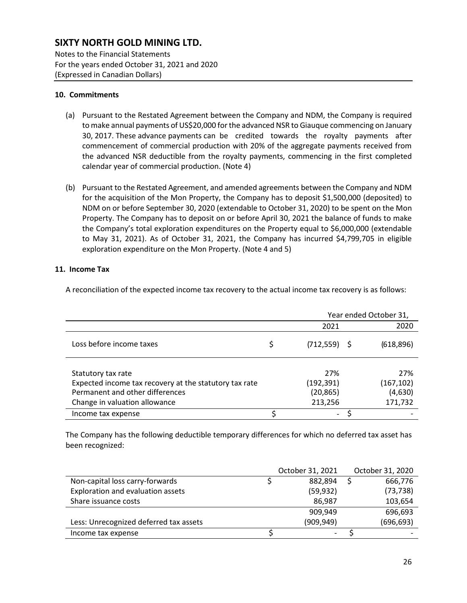Notes to the Financial Statements For the years ended October 31, 2021 and 2020 (Expressed in Canadian Dollars)

#### **10. Commitments**

- (a) Pursuant to the Restated Agreement between the Company and NDM, the Company is required to make annual payments of US\$20,000 for the advanced NSR to Giauque commencing on January 30, 2017. These advance payments can be credited towards the royalty payments after commencement of commercial production with 20% of the aggregate payments received from the advanced NSR deductible from the royalty payments, commencing in the first completed calendar year of commercial production. (Note 4)
- (b) Pursuant to the Restated Agreement, and amended agreements between the Company and NDM for the acquisition of the Mon Property, the Company has to deposit \$1,500,000 (deposited) to NDM on or before September 30, 2020 (extendable to October 31, 2020) to be spent on the Mon Property. The Company has to deposit on or before April 30, 2021 the balance of funds to make the Company's total exploration expenditures on the Property equal to \$6,000,000 (extendable to May 31, 2021). As of October 31, 2021, the Company has incurred \$4,799,705 in eligible exploration expenditure on the Mon Property. (Note 4 and 5)

### **11. Income Tax**

A reconciliation of the expected income tax recovery to the actual income tax recovery is as follows:

|                                                        | Year ended October 31,   |  |            |
|--------------------------------------------------------|--------------------------|--|------------|
|                                                        | 2021                     |  | 2020       |
| Loss before income taxes                               | \$<br>$(712,559)$ \$     |  | (618, 896) |
|                                                        |                          |  |            |
| Statutory tax rate                                     | 27%                      |  | 27%        |
| Expected income tax recovery at the statutory tax rate | (192, 391)               |  | (167, 102) |
| Permanent and other differences                        | (20, 865)                |  | (4,630)    |
| Change in valuation allowance                          | 213,256                  |  | 171,732    |
| Income tax expense                                     | $\overline{\phantom{a}}$ |  |            |

The Company has the following deductible temporary differences for which no deferred tax asset has been recognized:

|                                        | October 31, 2021 | October 31, 2020 |
|----------------------------------------|------------------|------------------|
| Non-capital loss carry-forwards        | 882.894          | 666,776          |
| Exploration and evaluation assets      | (59, 932)        | (73, 738)        |
| Share issuance costs                   | 86.987           | 103,654          |
|                                        | 909.949          | 696,693          |
| Less: Unrecognized deferred tax assets | (909, 949)       | (696, 693)       |
| Income tax expense                     | ۰                |                  |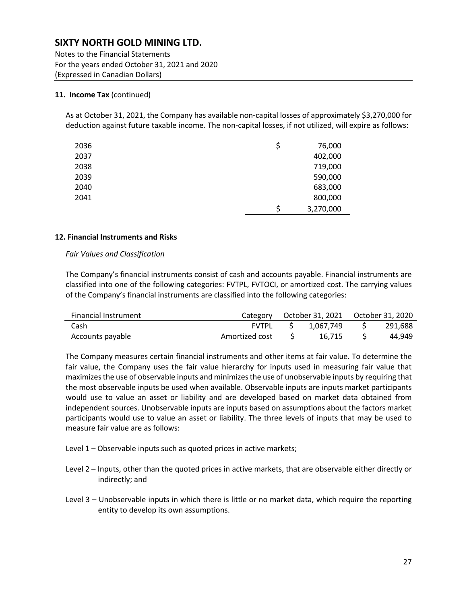Notes to the Financial Statements For the years ended October 31, 2021 and 2020 (Expressed in Canadian Dollars)

#### **11. Income Tax** (continued)

As at October 31, 2021, the Company has available non-capital losses of approximately \$3,270,000 for deduction against future taxable income. The non-capital losses, if not utilized, will expire as follows:

| 2036 | \$<br>76,000 |
|------|--------------|
| 2037 | 402,000      |
| 2038 | 719,000      |
| 2039 | 590,000      |
| 2040 | 683,000      |
| 2041 | 800,000      |
|      | 3,270,000    |

#### **12. Financial Instruments and Risks**

#### *Fair Values and Classification*

The Company's financial instruments consist of cash and accounts payable. Financial instruments are classified into one of the following categories: FVTPL, FVTOCI, or amortized cost. The carrying values of the Company's financial instruments are classified into the following categories:

| <b>Financial Instrument</b> |                | Category October 31, 2021 October 31, 2020 |         |
|-----------------------------|----------------|--------------------------------------------|---------|
| Cash                        | <b>FVTPL</b>   | 1.067.749                                  | 291.688 |
| Accounts payable            | Amortized cost | 16.715                                     | 44.949  |

The Company measures certain financial instruments and other items at fair value. To determine the fair value, the Company uses the fair value hierarchy for inputs used in measuring fair value that maximizes the use of observable inputs and minimizes the use of unobservable inputs by requiring that the most observable inputs be used when available. Observable inputs are inputs market participants would use to value an asset or liability and are developed based on market data obtained from independent sources. Unobservable inputs are inputs based on assumptions about the factors market participants would use to value an asset or liability. The three levels of inputs that may be used to measure fair value are as follows:

- Level 1 Observable inputs such as quoted prices in active markets;
- Level 2 Inputs, other than the quoted prices in active markets, that are observable either directly or indirectly; and
- Level 3 Unobservable inputs in which there is little or no market data, which require the reporting entity to develop its own assumptions.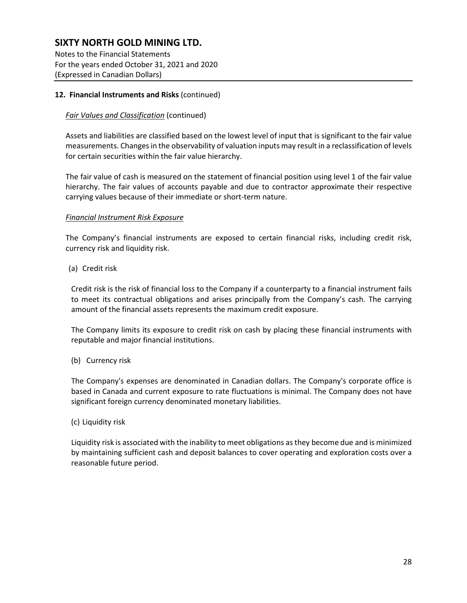Notes to the Financial Statements For the years ended October 31, 2021 and 2020 (Expressed in Canadian Dollars)

#### **12. Financial Instruments and Risks** (continued)

*Fair Values and Classification* (continued)

Assets and liabilities are classified based on the lowest level of input that is significant to the fair value measurements. Changes in the observability of valuation inputs may result in a reclassification of levels for certain securities within the fair value hierarchy.

The fair value of cash is measured on the statement of financial position using level 1 of the fair value hierarchy. The fair values of accounts payable and due to contractor approximate their respective carrying values because of their immediate or short-term nature.

#### *Financial Instrument Risk Exposure*

The Company's financial instruments are exposed to certain financial risks, including credit risk, currency risk and liquidity risk.

(a) Credit risk

Credit risk is the risk of financial loss to the Company if a counterparty to a financial instrument fails to meet its contractual obligations and arises principally from the Company's cash. The carrying amount of the financial assets represents the maximum credit exposure.

The Company limits its exposure to credit risk on cash by placing these financial instruments with reputable and major financial institutions.

#### (b) Currency risk

The Company's expenses are denominated in Canadian dollars. The Company's corporate office is based in Canada and current exposure to rate fluctuations is minimal. The Company does not have significant foreign currency denominated monetary liabilities.

#### (c) Liquidity risk

Liquidity risk is associated with the inability to meet obligations as they become due and is minimized by maintaining sufficient cash and deposit balances to cover operating and exploration costs over a reasonable future period.